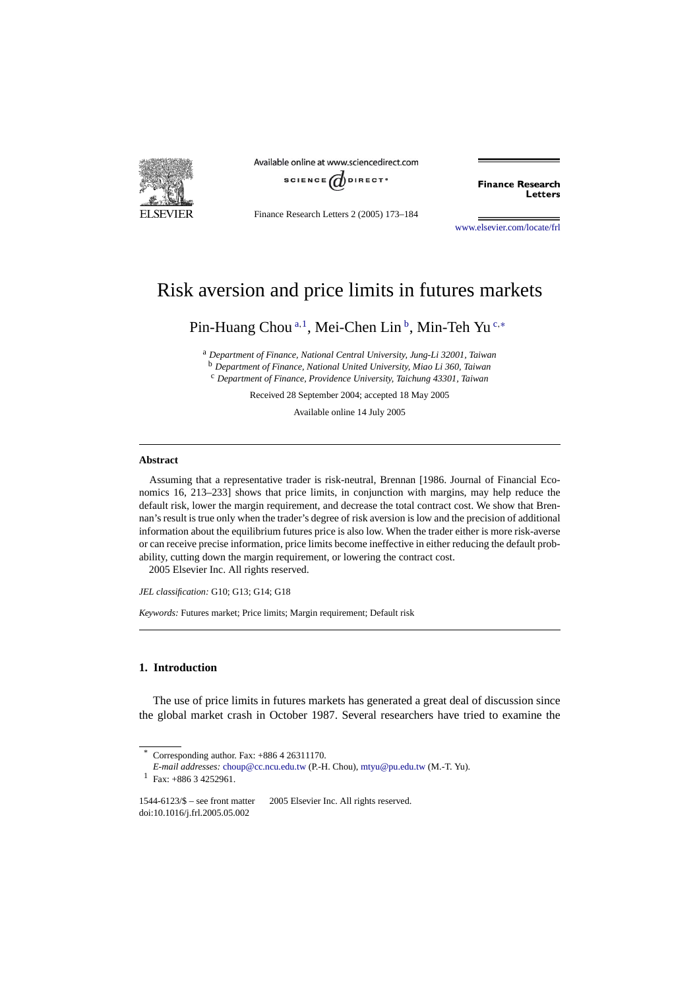

Available online at www.sciencedirect.com



Finance Research Letters 2 (2005) 173–184

**Finance Research** Letters

[www.elsevier.com/locate/frl](http://www.elsevier.com/locate/frl)

## Risk aversion and price limits in futures markets

Pin-Huang Chou<sup>a,1</sup>, Mei-Chen Lin<sup>b</sup>, Min-Teh Yu<sup>c,\*</sup>

<sup>a</sup> *Department of Finance, National Central University, Jung-Li 32001, Taiwan* <sup>b</sup> *Department of Finance, National United University, Miao Li 360, Taiwan* <sup>c</sup> *Department of Finance, Providence University, Taichung 43301, Taiwan*

Received 28 September 2004; accepted 18 May 2005

Available online 14 July 2005

## **Abstract**

Assuming that a representative trader is risk-neutral, Brennan [1986. Journal of Financial Economics 16, 213–233] shows that price limits, in conjunction with margins, may help reduce the default risk, lower the margin requirement, and decrease the total contract cost. We show that Brennan's result is true only when the trader's degree of risk aversion is low and the precision of additional information about the equilibrium futures price is also low. When the trader either is more risk-averse or can receive precise information, price limits become ineffective in either reducing the default probability, cutting down the margin requirement, or lowering the contract cost. 2005 Elsevier Inc. All rights reserved.

*JEL classification:* G10; G13; G14; G18

*Keywords:* Futures market; Price limits; Margin requirement; Default risk

## **1. Introduction**

The use of price limits in futures markets has generated a great deal of discussion since the global market crash in October 1987. Several researchers have tried to examine the

Corresponding author. Fax:  $+886426311170$ .

*E-mail addresses:* [choup@cc.ncu.edu.tw](mailto:choup@cc.ncu.edu.tw) (P.-H. Chou), [mtyu@pu.edu.tw](mailto:mtyu@pu.edu.tw) (M.-T. Yu).

 $1$  Fax: +886 3 4252961.

<sup>1544-6123/\$ –</sup> see front matter 2005 Elsevier Inc. All rights reserved. doi:10.1016/j.frl.2005.05.002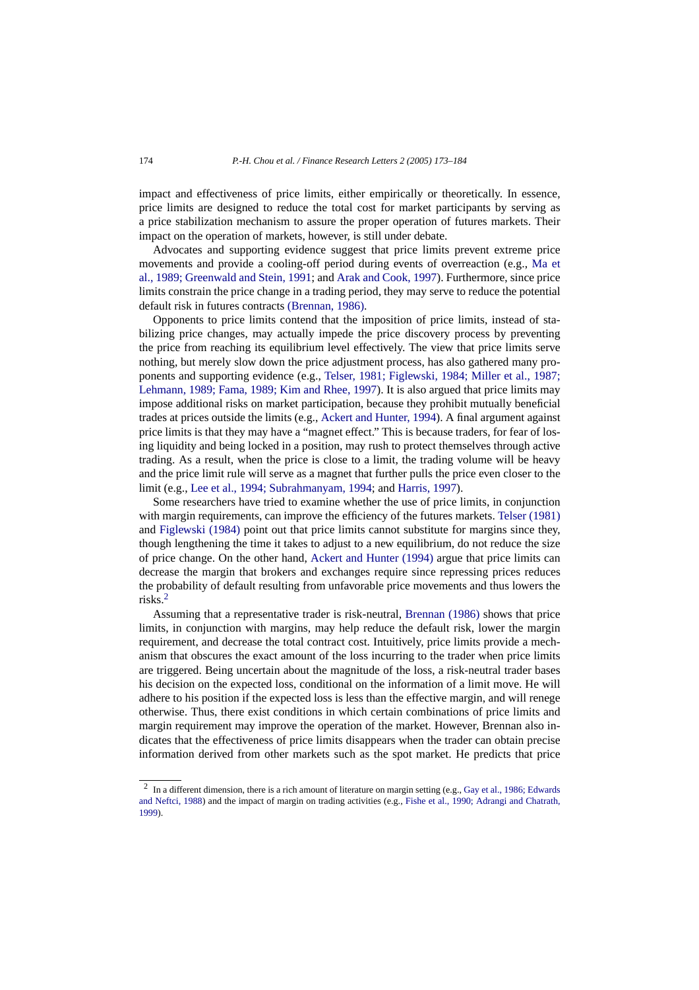impact and effectiveness of price limits, either empirically or theoretically. In essence, price limits are designed to reduce the total cost for market participants by serving as a price stabilization mechanism to assure the proper operation of futures markets. Their impact on the operation of markets, however, is still under debate.

Advocates and supporting evidence suggest that price limits prevent extreme price movements and provide a cooling-off period during events of overreaction (e.g., [Ma et](#page--1-0) [al., 1989; Greenwald and Stein, 1991;](#page--1-0) and [Arak and Cook, 1997\)](#page--1-0). Furthermore, since price limits constrain the price change in a trading period, they may serve to reduce the potential default risk in futures contracts [\(Brennan, 1986\).](#page--1-0)

Opponents to price limits contend that the imposition of price limits, instead of stabilizing price changes, may actually impede the price discovery process by preventing the price from reaching its equilibrium level effectively. The view that price limits serve nothing, but merely slow down the price adjustment process, has also gathered many proponents and supporting evidence (e.g., [Telser, 1981; Figlewski, 1984; Miller et al., 1987;](#page--1-0) [Lehmann, 1989; Fama, 1989; Kim and Rhee, 1997\)](#page--1-0). It is also argued that price limits may impose additional risks on market participation, because they prohibit mutually beneficial trades at prices outside the limits (e.g., [Ackert and Hunter, 1994\)](#page--1-0). A final argument against price limits is that they may have a "magnet effect." This is because traders, for fear of losing liquidity and being locked in a position, may rush to protect themselves through active trading. As a result, when the price is close to a limit, the trading volume will be heavy and the price limit rule will serve as a magnet that further pulls the price even closer to the limit (e.g., [Lee et al., 1994; Subrahmanyam, 1994;](#page--1-0) and [Harris, 1997\)](#page--1-0).

Some researchers have tried to examine whether the use of price limits, in conjunction with margin requirements, can improve the efficiency of the futures markets. [Telser \(1981\)](#page--1-0) and [Figlewski \(1984\)](#page--1-0) point out that price limits cannot substitute for margins since they, though lengthening the time it takes to adjust to a new equilibrium, do not reduce the size of price change. On the other hand, [Ackert and Hunter \(1994\)](#page--1-0) argue that price limits can decrease the margin that brokers and exchanges require since repressing prices reduces the probability of default resulting from unfavorable price movements and thus lowers the risks.2

Assuming that a representative trader is risk-neutral, [Brennan \(1986\)](#page--1-0) shows that price limits, in conjunction with margins, may help reduce the default risk, lower the margin requirement, and decrease the total contract cost. Intuitively, price limits provide a mechanism that obscures the exact amount of the loss incurring to the trader when price limits are triggered. Being uncertain about the magnitude of the loss, a risk-neutral trader bases his decision on the expected loss, conditional on the information of a limit move. He will adhere to his position if the expected loss is less than the effective margin, and will renege otherwise. Thus, there exist conditions in which certain combinations of price limits and margin requirement may improve the operation of the market. However, Brennan also indicates that the effectiveness of price limits disappears when the trader can obtain precise information derived from other markets such as the spot market. He predicts that price

 $2$  In a different dimension, there is a rich amount of literature on margin setting (e.g., [Gay et al., 1986; Edwards](#page--1-0) [and Neftci, 1988\)](#page--1-0) and the impact of margin on trading activities (e.g., [Fishe et al., 1990; Adrangi and Chatrath,](#page--1-0) [1999\)](#page--1-0).